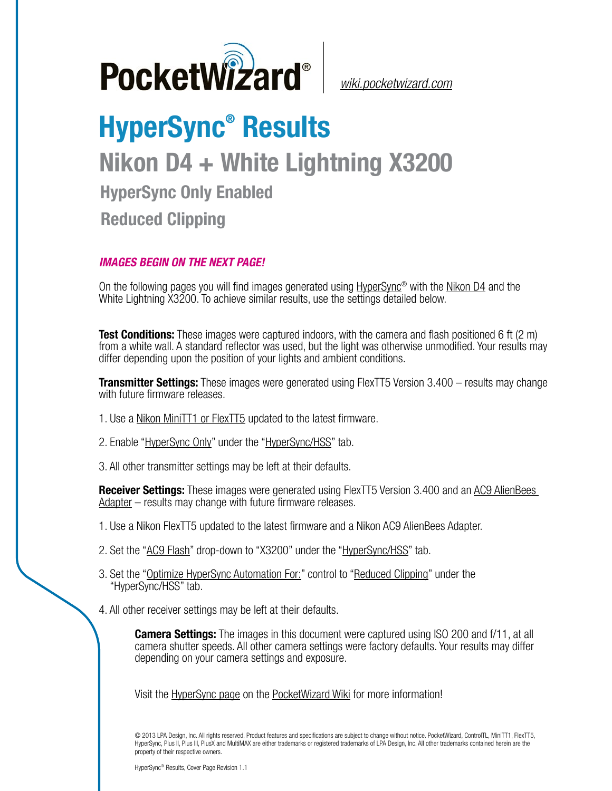

*[wiki.pocketwizard.com](http://wiki.pocketwizard.com/)*

## **HyperSync® Results Nikon D4 + White Lightning X3200 HyperSync Only Enabled Reduced Clipping**

## *IMAGES BEGIN ON THE NEXT PAGE!*

On the following pages you will find images generated using [HyperSync](http://wiki.pocketwizard.com/index.php?title=Hypersync)® with the [Nikon D4](http://wiki.pocketwizard.com/index.php?title=Nikon_D4) and the White Lightning X3200. To achieve similar results, use the settings detailed below.

**Test Conditions:** These images were captured indoors, with the camera and flash positioned 6 ft (2 m) from a white wall. A standard reflector was used, but the light was otherwise unmodified. Your results may differ depending upon the position of your lights and ambient conditions.

**Transmitter Settings:** These images were generated using FlexTT5 Version 3.400 – results may change with future firmware releases.

- 1. Use a [Nikon MiniTT1 or FlexTT5](http://wiki.pocketwizard.com/index.php?title=MiniTT1_and_FlexTT5) updated to the latest firmware.
- 2. Enable ["HyperSync Only"](http://wiki.pocketwizard.com/index.php?title=Hypersync_hss_tab#HyperSync_Only_.28Disable_HSS.2FFP.29) under the "[HyperSync/HSS"](http://wiki.pocketwizard.com/index.php?title=Hypersync_hss_tab) tab.
- 3. All other transmitter settings may be left at their defaults.

**Receiver Settings:** These images were generated using FlexTT5 Version 3.400 and an [AC9 AlienBees](http://wiki.pocketwizard.com/index.php?title=AC9_AlienBees_Adapter)  [Adapter](http://wiki.pocketwizard.com/index.php?title=AC9_AlienBees_Adapter) – results may change with future firmware releases.

- 1. Use a Nikon [FlexTT5](http://wiki.pocketwizard.com/index.php?title=Canon_MiniTT1_and_FlexTT5) updated to the latest firmware and a Nikon AC9 AlienBees Adapter.
- 2. Set the "[AC9 Flash](http://wiki.pocketwizard.com/index.php?title=HyperSync/HSS_Tab#AC9_Flash)" drop-down to "X3200" under the "[HyperSync/HSS"](http://wiki.pocketwizard.com/index.php?title=Hypersync_hss_tab) tab.
- 3. Set the "[Optimize HyperSync Automation For:](http://wiki.pocketwizard.com/index.php?title=HyperSync/HSS_Tab#Optimize_HyperSync_Automation_For:)" control to ["Reduced Clipping"](http://wiki.pocketwizard.com/index.php?title=HyperSync/HSS_Tab#Optimize_HyperSync_Automation_For:) under the "HyperSync/HSS" tab.
- 4. All other receiver settings may be left at their defaults.

**Camera Settings:** The images in this document were captured using ISO 200 and f/11, at all camera shutter speeds. All other camera settings were factory defaults. Your results may differ depending on your camera settings and exposure.

Visit the [HyperSync page](http://wiki.pocketwizard.com/index.php?title=Hypersync) on the [PocketWizard Wiki](http://wiki.pocketwizard.com/) for more information!

© 2013 LPA Design, Inc. All rights reserved. Product features and specifications are subject to change without notice. PocketWizard, ControlTL, MiniTT1, FlexTT5, HyperSync, Plus II, Plus III, PlusX and MultiMAX are either trademarks or registered trademarks of LPA Design, Inc. All other trademarks contained herein are the property of their respective owners.

HyperSync® Results, Cover Page Revision 1.1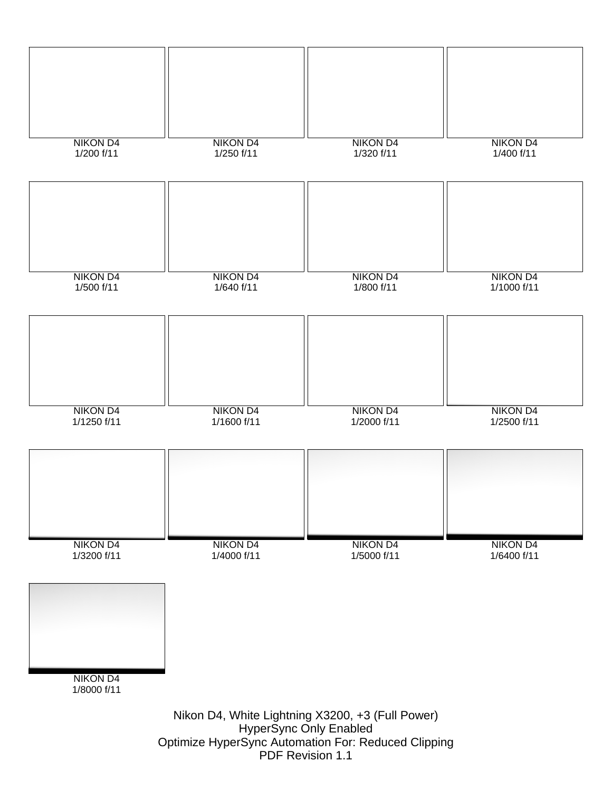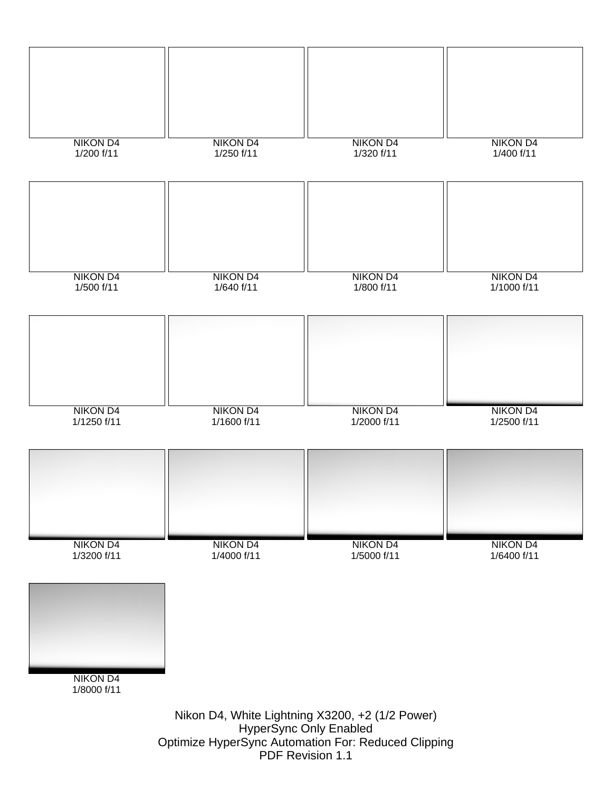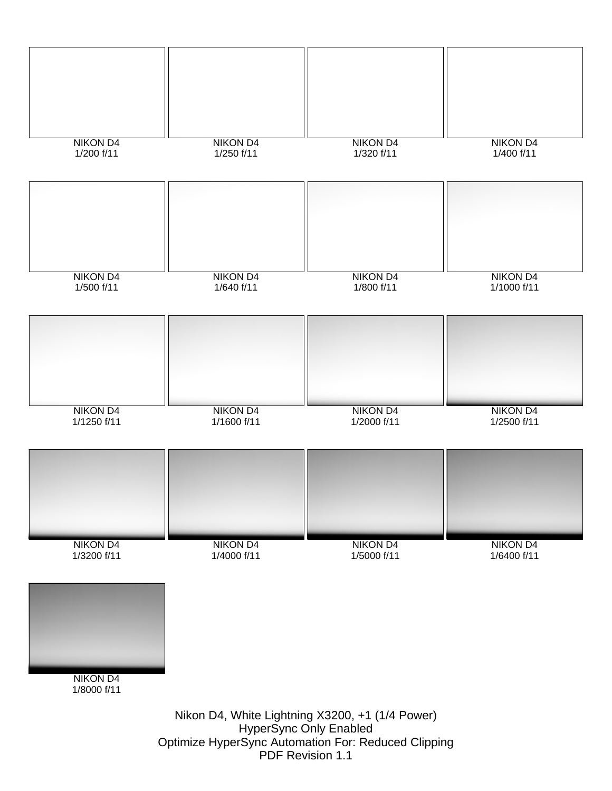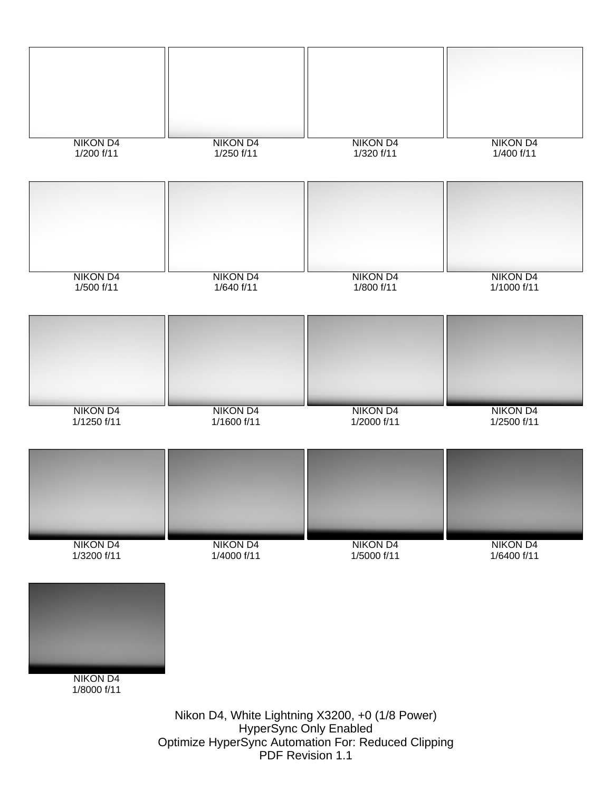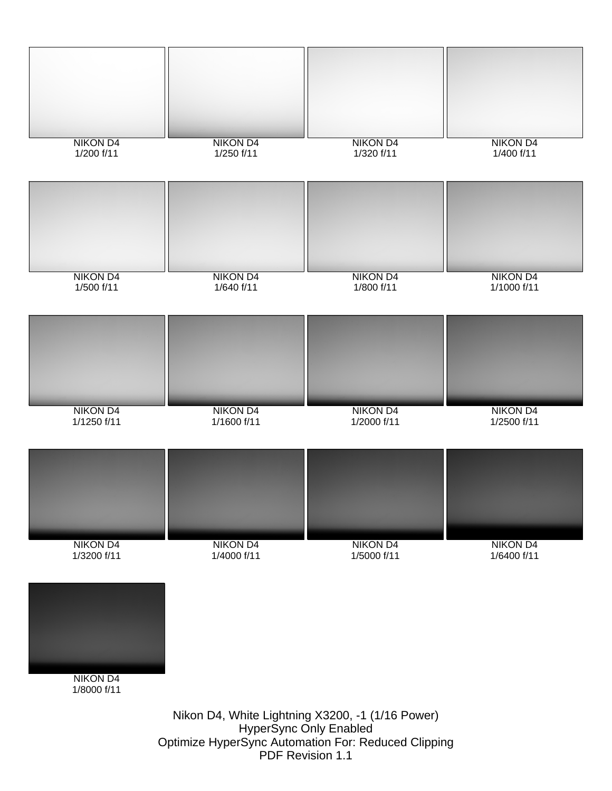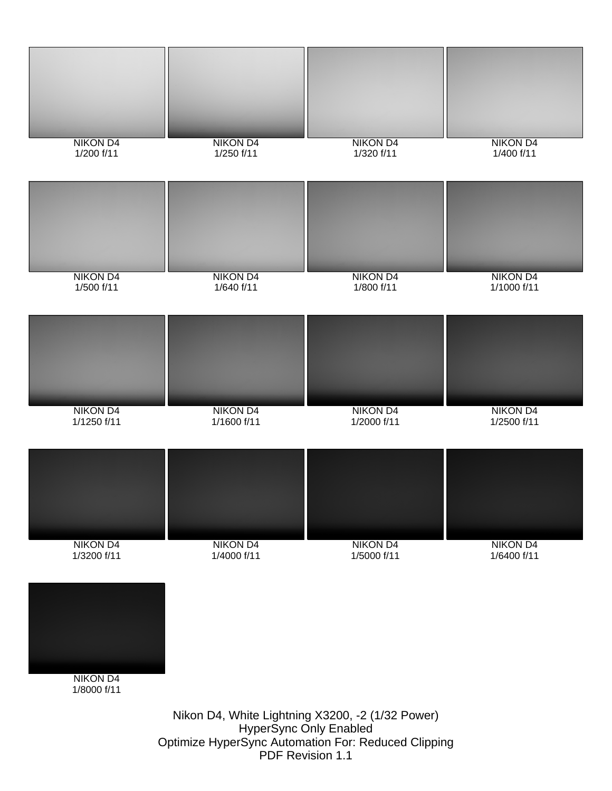